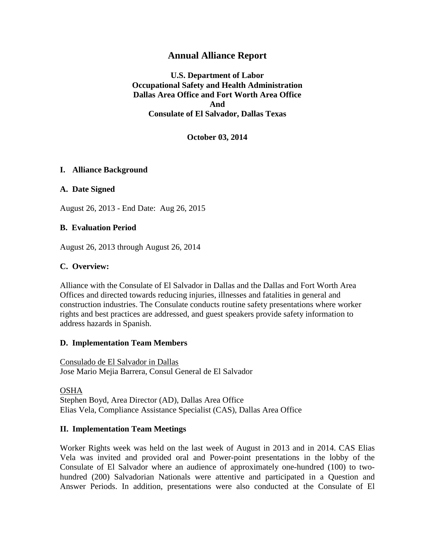## **Annual Alliance Report**

**U.S. Department of Labor Occupational Safety and Health Administration Dallas Area Office and Fort Worth Area Office And Consulate of El Salvador, Dallas Texas**

**October 03, 2014**

### **I. Alliance Background**

#### **A. Date Signed**

August 26, 2013 - End Date: Aug 26, 2015

#### **B. Evaluation Period**

August 26, 2013 through August 26, 2014

### **C. Overview:**

Alliance with the Consulate of El Salvador in Dallas and the Dallas and Fort Worth Area Offices and directed towards reducing injuries, illnesses and fatalities in general and construction industries. The Consulate conducts routine safety presentations where worker rights and best practices are addressed, and guest speakers provide safety information to address hazards in Spanish.

#### **D. Implementation Team Members**

Consulado de El Salvador in Dallas Jose Mario Mejia Barrera, Consul General de El Salvador

OSHA Stephen Boyd, Area Director (AD), Dallas Area Office Elias Vela, Compliance Assistance Specialist (CAS), Dallas Area Office

### **II. Implementation Team Meetings**

Worker Rights week was held on the last week of August in 2013 and in 2014. CAS Elias Vela was invited and provided oral and Power-point presentations in the lobby of the Consulate of El Salvador where an audience of approximately one-hundred (100) to twohundred (200) Salvadorian Nationals were attentive and participated in a Question and Answer Periods. In addition, presentations were also conducted at the Consulate of El